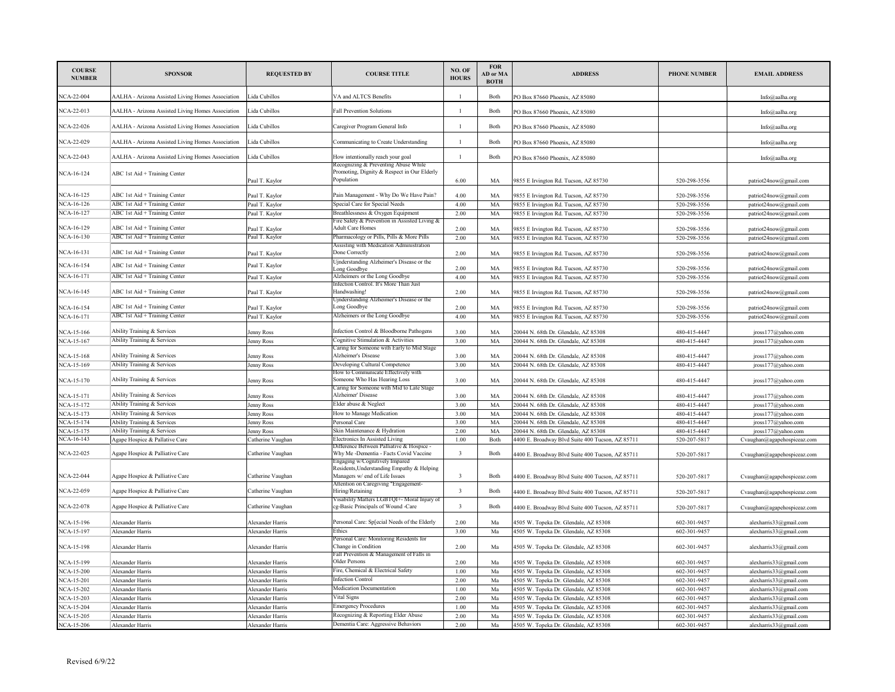| <b>COURSE</b><br><b>NUMBER</b> | <b>SPONSOR</b>                                    | <b>REQUESTED BY</b>              | <b>COURSE TITLE</b>                                                                               | NO. OF<br><b>HOURS</b>  | <b>FOR</b><br><b>AD</b> or MA<br><b>BOTH</b> | <b>ADDRESS</b>                                   | PHONE NUMBER | <b>EMAIL ADDRESS</b>        |
|--------------------------------|---------------------------------------------------|----------------------------------|---------------------------------------------------------------------------------------------------|-------------------------|----------------------------------------------|--------------------------------------------------|--------------|-----------------------------|
| NCA-22-004                     | AALHA - Arizona Assisted Living Homes Association | Lida Cubillos                    | VA and ALTCS Benefits                                                                             | $\mathbf{1}$            | Both                                         | PO Box 87660 Phoenix, AZ 85080                   |              | Info@aalha.org              |
| NCA-22-013                     | AALHA - Arizona Assisted Living Homes Association | Lida Cubillos                    | <b>Fall Prevention Solutions</b>                                                                  | $\mathbf{1}$            | <b>Both</b>                                  | PO Box 87660 Phoenix, AZ 85080                   |              | Info@aalha.org              |
| NCA-22-026                     | AALHA - Arizona Assisted Living Homes Association | Lida Cubillos                    | Caregiver Program General Info                                                                    | $\mathbf{1}$            | Both                                         | PO Box 87660 Phoenix, AZ 85080                   |              | Info@aalha.org              |
| NCA-22-029                     | AALHA - Arizona Assisted Living Homes Association | Lida Cubillos                    | Communicating to Create Understanding                                                             | $\mathbf{1}$            | <b>Both</b>                                  | PO Box 87660 Phoenix, AZ 85080                   |              | Info@aalha.org              |
| NCA-22-043                     | AALHA - Arizona Assisted Living Homes Association | Lida Cubillos                    | How intentionally reach your goal                                                                 | $\mathbf{1}$            | <b>Both</b>                                  | PO Box 87660 Phoenix, AZ 85080                   |              | Info@aalha.org              |
| NCA-16-124                     | ABC 1st Aid + Training Center                     | Paul T. Kaylor                   | Recognizing & Preventing Abuse While<br>Promoting, Dignity & Respect in Our Elderly<br>Population | 6.00                    | MA                                           | 9855 E Irvington Rd. Tucson, AZ 85730            | 520-298-3556 | patriot24now@gmail.com      |
| NCA-16-125                     | ABC 1st Aid + Training Center                     | Paul T. Kaylor                   | Pain Management - Why Do We Have Pain?                                                            | 4.00                    | MA                                           | 9855 E Irvington Rd. Tucson, AZ 85730            | 520-298-3556 | patriot24now@gmail.com      |
| <b>NCA-16-126</b>              | ABC 1st Aid + Training Center                     | Paul T. Kaylor                   | Special Care for Special Needs                                                                    | 4.00                    | MA                                           | 9855 E Irvington Rd. Tucson, AZ 85730            | 520-298-3556 | patriot24now@gmail.com      |
| NCA-16-127                     | ABC 1st Aid + Training Center                     | Paul T. Kaylor                   | Breathlessness & Oxygen Equipment                                                                 | 2.00                    | MA                                           | 9855 E Irvington Rd. Tucson, AZ 85730            | 520-298-3556 | patriot24now@gmail.com      |
| NCA-16-129                     | ABC 1st Aid + Training Center                     |                                  | Fire Safety & Prevention in Assisted Living &<br><b>Adult Care Homes</b>                          | 2.00                    | MA                                           |                                                  | 520-298-3556 |                             |
| NCA-16-130                     | ABC 1st Aid + Training Center                     | Paul T. Kaylor<br>Paul T. Kaylor | Pharmacology or Pills, Pills & More Pills                                                         |                         |                                              | 9855 E Irvington Rd. Tucson, AZ 85730            |              | patriot24now@gmail.com      |
|                                |                                                   |                                  | Assisting with Medication Administration                                                          | 2.00                    | $\rm MA$                                     | 9855 E Irvington Rd. Tucson, AZ 85730            | 520-298-3556 | patriot24now@gmail.com      |
| NCA-16-131                     | ABC 1st Aid + Training Center                     | Paul T. Kaylor                   | Done Correctly                                                                                    | 2.00                    | MA                                           | 9855 E Irvington Rd. Tucson, AZ 85730            | 520-298-3556 | patriot24now@gmail.com      |
| NCA-16-154                     | ABC 1st Aid + Training Center                     | Paul T. Kaylor                   | Ujnderstanding Alzheimer's Disease or the<br>Long Goodbye                                         | 2.00                    | MA                                           | 9855 E Irvington Rd. Tucson, AZ 85730            | 520-298-3556 | patriot24now@gmail.com      |
| NCA-16-171                     | ABC 1st Aid + Training Center                     | Paul T. Kaylor                   | Alzheimers or the Long Goodbye                                                                    | 4.00                    | MA                                           | 9855 E Irvington Rd. Tucson, AZ 85730            | 520-298-3556 | patriot24now@gmail.com      |
| NCA-16-145                     | ABC 1st Aid + Training Center                     | Paul T. Kaylor                   | Infection Control. It's More Than Just<br>Handwashing!                                            | 2.00                    | MA                                           | 9855 E Irvington Rd. Tucson, AZ 85730            | 520-298-3556 | patriot24now@gmail.com      |
|                                |                                                   |                                  | Ujnderstanding Alzheimer's Disease or the                                                         |                         |                                              |                                                  |              |                             |
| NCA-16-154                     | ABC 1st Aid + Training Center                     | Paul T. Kaylor                   | Long Goodbye                                                                                      | 2.00                    | MA                                           | 9855 E Irvington Rd. Tucson, AZ 85730            | 520-298-3556 | patriot24now@gmail.com      |
| NCA-16-171                     | ABC 1st Aid + Training Center                     | Paul T. Kaylor                   | Alzheimers or the Long Goodbye                                                                    | 4.00                    | MA                                           | 9855 E Irvington Rd. Tucson, AZ 85730            | 520-298-3556 | patriot24now@gmail.com      |
| NCA-15-166                     | Ability Training & Services                       | Jenny Ross                       | Infection Control & Bloodborne Pathogens                                                          | 3.00                    | MA                                           | 20044 N. 68th Dr. Glendale, AZ 85308             | 480-415-4447 | jross177@yahoo.com          |
| NCA-15-167                     | Ability Training & Services                       | Jenny Ross                       | Cognitive Stimulation & Activities                                                                | 3.00                    | $\rm MA$                                     | 20044 N. 68th Dr. Glendale, AZ 85308             | 480-415-4447 | jross177@yahoo.com          |
|                                |                                                   |                                  | Caring for Someone with Early to Mid Stage                                                        |                         |                                              |                                                  |              |                             |
| NCA-15-168                     | Ability Training & Services                       | Jenny Ross                       | Alzheimer's Disease                                                                               | 3.00                    | MA                                           | 20044 N. 68th Dr. Glendale, AZ 85308             | 480-415-4447 | jross177@yahoo.com          |
| NCA-15-169                     | Ability Training & Services                       | Jenny Ross                       | Developing Cultural Competence<br>How to Communicate Effectively with                             | 3.00                    | $\rm MA$                                     | 20044 N. 68th Dr. Glendale, AZ 85308             | 480-415-4447 | jross177@yahoo.com          |
| NCA-15-170                     | Ability Training & Services                       | Jenny Ross                       | Someone Who Has Hearing Loss                                                                      | 3.00                    | MA                                           | 20044 N. 68th Dr. Glendale, AZ 85308             | 480-415-4447 | jross177@yahoo.com          |
| NCA-15-171                     | Ability Training & Services                       | Jenny Ross                       | Caring for Someone with Mid to Late Stage<br>Alzheimer' Disease                                   | 3.00                    | MA                                           | 20044 N. 68th Dr. Glendale, AZ 85308             | 480-415-4447 | jross177@yahoo.com          |
| NCA-15-172                     | Ability Training & Services                       | Jenny Ross                       | Elder abuse & Neglect                                                                             | 3.00                    | MA                                           | 20044 N. 68th Dr. Glendale, AZ 85308             | 480-415-4447 | jross177@yahoo.com          |
| NCA-15-173                     | Ability Training & Services                       | Jenny Ross                       | How to Manage Medication                                                                          | 3.00                    | MA                                           | 0044 N. 68th Dr. Glendale, AZ 85308              | 480-415-4447 | jross177@yahoo.com          |
| NCA-15-174                     | Ability Training & Services                       | Jenny Ross                       | Personal Care                                                                                     | 3.00                    | MA                                           | 0044 N. 68th Dr. Glendale, AZ 85308              | 480-415-4447 | jross177@yahoo.com          |
| NCA-15-175                     | Ability Training & Services                       | Jenny Ross                       | Skin Maintenance & Hydration                                                                      | 2.00                    | MA                                           | 0044 N. 68th Dr. Glendale, AZ 85308              | 480-415-4447 | jross177@yahoo.com          |
| NCA-16-143                     | Agape Hospice & Pallative Care                    | Catherine Vaughan                | <b>Electronics In Assisted Living</b>                                                             | 1.00                    | Both                                         | 4400 E. Broadway Blvd Suite 400 Tucson, AZ 85711 | 520-207-5817 | Cvaughan@agapehospiceaz.com |
| NCA-22-025                     | Agape Hospice & Palliative Care                   | Catherine Vaughan                | Difference Between Palliative & Hospice -<br>Why Me -Dementia - Facts Covid Vaccine               | $\overline{\mathbf{3}}$ | Both                                         | 4400 E. Broadway Blvd Suite 400 Tucson, AZ 85711 | 520-207-5817 | Cvaughan@agapehospiceaz.com |
|                                |                                                   |                                  | Engaging w/Cognitively Impared                                                                    |                         |                                              |                                                  |              |                             |
| NCA-22-044                     | Agape Hospice & Palliative Care                   | Catherine Vaughan                | Residents, Understanding Empathy & Helping<br>Managers w/ end of Life Issues                      | $\overline{\mathbf{3}}$ | Both                                         | 4400 E. Broadway Blvd Suite 400 Tucson, AZ 85711 | 520-207-5817 | Cvaughan@agapehospiceaz.com |
|                                |                                                   |                                  | Attention on Caregiving "Engagement-                                                              |                         |                                              |                                                  |              |                             |
| NCA-22-059                     | Agape Hospice & Palliative Care                   | Catherine Vaughan                | Hiring/Retaining<br>Visability Matters LGBTQI+- Moral Injury of                                   | $\overline{\mathbf{3}}$ | Both                                         | 4400 E. Broadway Blvd Suite 400 Tucson, AZ 85711 | 520-207-5817 | Cvaughan@agapehospiceaz.com |
| NCA-22-078                     | Agape Hospice & Palliative Care                   | Catherine Vaughan                | cg-Basic Principals of Wound -Care                                                                | $\overline{\mathbf{3}}$ | Both                                         | 4400 E. Broadway Blvd Suite 400 Tucson, AZ 85711 | 520-207-5817 | Cvaughan@agapehospiceaz.com |
| NCA-15-196                     | Alexander Harris                                  | <b>Alexander Harris</b>          | Personal Care: Sp[ecial Needs of the Elderly                                                      | 2.00                    | Ma                                           | 4505 W. Topeka Dr. Glendale, AZ 85308            | 602-301-9457 | alexharris33@gmail.com      |
| NCA-15-197                     | Alexander Harris                                  | <b>Alexander Harris</b>          | Ethics                                                                                            | 3.00                    | Ma                                           | 4505 W. Topeka Dr. Glendale, AZ 85308            | 602-301-9457 | alexharris33@gmail.com      |
| NCA-15-198                     | Alexander Harris                                  | Alexander Harris                 | Personal Care: Monitoring Residents for<br>Change in Condition                                    | 2.00                    | Ma                                           | 4505 W. Topeka Dr. Glendale, AZ 85308            | 602-301-9457 | alexharris33@gmail.com      |
| NCA-15-199                     | Alexander Harris                                  | Alexander Harris                 | Fall Prevention & Management of Falls in<br>Older Persons                                         | 2.00                    | Ma                                           | 4505 W. Topeka Dr. Glendale, AZ 85308            | 602-301-9457 | alexharris33@gmail.com      |
| NCA-15-200                     | Alexander Harris                                  | Alexander Harris                 | Fire, Chemical & Electrical Safety                                                                | 1.00                    | Ma                                           | 4505 W. Topeka Dr. Glendale, AZ 85308            | 602-301-9457 | alexharris33@gmail.com      |
| NCA-15-201                     | Alexander Harris                                  | Alexander Harris                 | Infection Control                                                                                 | 2.00                    | Ma                                           | 4505 W. Topeka Dr. Glendale, AZ 85308            | 602-301-9457 | alexharris33@gmail.com      |
| NCA-15-202                     | Alexander Harris                                  | Alexander Harris                 | Medication Documentation                                                                          | 1.00                    | Ma                                           | 4505 W. Topeka Dr. Glendale, AZ 85308            | 602-301-9457 | alexharris33@gmail.com      |
| NCA-15-203                     | Alexander Harris                                  | Alexander Harris                 | Vital Signs                                                                                       | 2.00                    | Ma                                           | 4505 W. Topeka Dr. Glendale, AZ 85308            | 602-301-9457 | alexharris33@gmail.com      |
| NCA-15-204                     | Alexander Harris                                  | Alexander Harris                 | <b>Emergency Procedures</b>                                                                       | 1.00                    | Ma                                           | 4505 W. Topeka Dr. Glendale, AZ 85308            | 602-301-9457 | alexharris33@gmail.com      |
| NCA-15-205                     | Alexander Harris                                  | Alexander Harris                 | Recognizing & Reporting Elder Abuse                                                               | 2.00                    | Ma                                           | 4505 W. Topeka Dr. Glendale, AZ 85308            | 602-301-9457 | alexharris33@gmail.com      |
| NCA-15-206                     | Alexander Harris                                  | Alexander Harris                 | Dementia Care: Aggressive Behaviors                                                               | 2.00                    | $_{\rm Ma}$                                  | 4505 W. Topeka Dr. Glendale, AZ 85308            | 602-301-9457 | alexharris33@gmail.com      |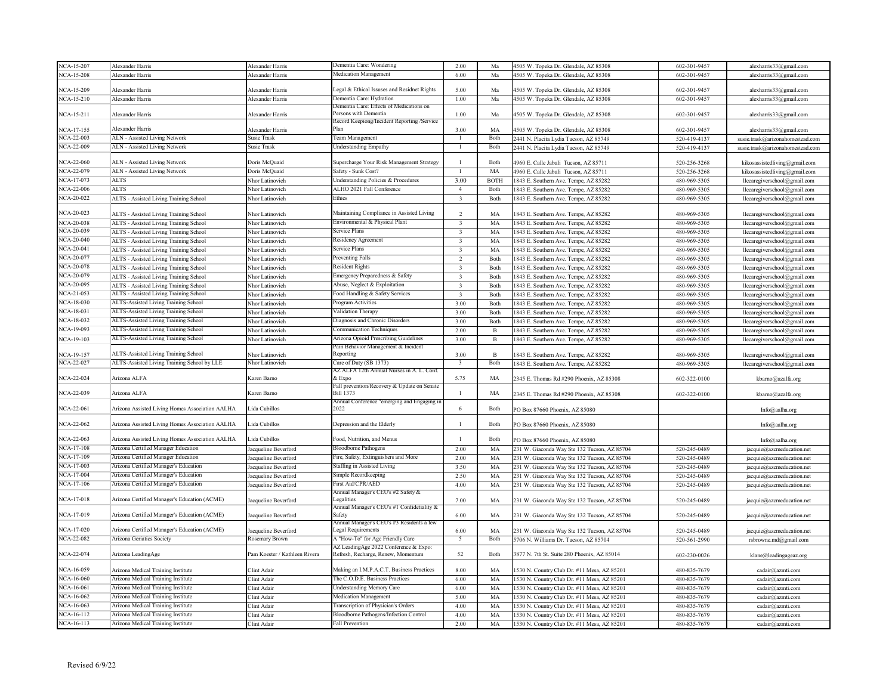| <b>NCA-15-207</b> | Alexander Harris                                | Alexander Harris              | Dementia Care: Wondering                                                    | 2.00                    | Ma          | 4505 W. Topeka Dr. Glendale, AZ 85308        | 602-301-9457 | alexharris33@gmail.com           |
|-------------------|-------------------------------------------------|-------------------------------|-----------------------------------------------------------------------------|-------------------------|-------------|----------------------------------------------|--------------|----------------------------------|
| NCA-15-208        | Alexander Harris                                | Alexander Harris              | Medication Management                                                       | 6.00                    | Ma          | 4505 W. Topeka Dr. Glendale, AZ 85308        | 602-301-9457 | alexharris33@gmail.com           |
|                   |                                                 |                               |                                                                             |                         |             |                                              |              |                                  |
| NCA-15-209        | Alexander Harris                                | <b>Alexander Harris</b>       | Legal & Ethical Issuses and Residnet Rights                                 | 5.00                    | Ma          | 4505 W. Topeka Dr. Glendale, AZ 85308        | 602-301-9457 | alexharris33@gmail.com           |
| NCA-15-210        | Alexander Harris                                | Alexander Harris              | Dementia Care: Hydration                                                    | 1.00                    | Ma          | 4505 W. Topeka Dr. Glendale, AZ 85308        | 602-301-9457 | alexharris33@gmail.com           |
| NCA-15-211        | Alexander Harris                                | <b>Mexander Harris</b>        | Dementia Care: Effects of Medications on<br>Persons with Dementia           | 1.00                    | Ma          | 4505 W. Topeka Dr. Glendale, AZ 85308        | 602-301-9457 | alexharris33@gmail.com           |
|                   |                                                 |                               | Record Keepiong/Incident Reporting /Service                                 |                         |             |                                              |              |                                  |
| NCA-17-155        | Alexander Harris                                | <b>Alexander Harris</b>       | Plan                                                                        | 3.00                    | MA          | 4505 W. Topeka Dr. Glendale, AZ 85308        | 602-301-9457 | alexharris33@gmail.com           |
| NCA-22-003        | ALN - Assisted Living Network                   | <b>Susie Trask</b>            | Team Management                                                             | $\mathbf{1}$            | Both        | 2441 N. Placita Lydia Tucson, AZ 85749       | 520-419-4137 | susie.trask@arizonahomestead.com |
| NCA-22-009        | ALN - Assisted Living Network                   | Susie Trask                   | <b>Understanding Empathy</b>                                                | $\mathbf{1}$            | Both        | 2441 N. Placita Lydia Tucson, AZ 85749       | 520-419-4137 | susie.trask@arizonahomestead.com |
|                   |                                                 |                               |                                                                             |                         |             |                                              |              |                                  |
| NCA-22-060        | ALN - Assisted Living Network                   | Doris McQuaid                 | Supercharge Your Risk Management Strategy                                   | $\mathbf{1}$            | Both        | 4960 E. Calle Jabali Tucson, AZ 85711        | 520-256-3268 | kikosassistedliving@gmail.com    |
| NCA-22-079        | ALN - Assisted Living Network                   | Doris McQuaid                 | Safety - Sunk Cost?                                                         | $\mathbf{1}$            | $\rm MA$    | 4960 E. Calle Jabali Tucson, AZ 85711        | 520-256-3268 | kikosassistedliving@gmail.com    |
| NCA-17-073        | <b>ALTS</b>                                     | Nhor Latinovich               | Understanding Policies & Procedures                                         | 3.00                    | <b>BOTH</b> | 1843 E. Southern Ave. Tempe, AZ 85282        | 480-969-5305 | llecaregiverschool@gmail.com     |
| <b>NCA-22-006</b> | <b>ALTS</b>                                     | Nhor Latinovich               | ALHO 2021 Fall Conference                                                   | $\overline{4}$          | Both        | 843 E. Southern Ave. Tempe, AZ 85282         | 480-969-5305 | llecaregiverschool@gmail.com     |
| NCA-20-022        | ALTS - Assisted Living Training School          | Nhor Latinovich               | Ethics                                                                      | $\mathbf{3}$            | Both        | 1843 E. Southern Ave. Tempe, AZ 85282        | 480-969-5305 | llecaregiverschool@gmail.com     |
| NCA-20-023        |                                                 |                               | Maintaining Compliance in Assisted Living                                   | $\overline{2}$          |             |                                              | 480-969-5305 |                                  |
|                   | ALTS - Assisted Living Training School          | <b>Nhor</b> Latinovich        | Environmental & Physical Plant                                              | $\overline{\mathbf{3}}$ | MA          | 843 E. Southern Ave. Tempe, AZ 85282         |              | llecaregiverschool@gmail.com     |
| <b>NCA-20-038</b> | ALTS - Assisted Living Training School          | Nhor Latinovich               | <b>Service Plans</b>                                                        |                         | MA          | 843 E. Southern Ave. Tempe, AZ 85282         | 480-969-5305 | llecaregiverschool@gmail.com     |
| <b>NCA-20-039</b> | ALTS - Assisted Living Training School          | Nhor Latinovich               |                                                                             | $\mathbf{3}$            | <b>MA</b>   | 843 E. Southern Ave. Tempe, AZ 85282         | 480-969-5305 | llecaregiverschool@gmail.com     |
| <b>NCA-20-040</b> | ALTS - Assisted Living Training School          | <b>Nhor</b> Latinovich        | Residency Agreement                                                         | $\overline{3}$          | MA          | 1843 E. Southern Ave. Tempe, AZ 85282        | 480-969-5305 | llecaregiverschool@gmail.com     |
| NCA-20-041        | ALTS - Assisted Living Training School          | Nhor Latinovich               | Service Plans                                                               | $\overline{3}$          | MA          | 843 E. Southern Ave. Tempe, AZ 85282         | 480-969-5305 | llecaregiverschool@gmail.com     |
| <b>NCA-20-077</b> | ALTS - Assisted Living Training School          | Nhor Latinovich               | Preventing Falls                                                            | $\overline{2}$          | Both        | 843 E. Southern Ave. Tempe, AZ 85282         | 480-969-5305 | llecaregiverschool@gmail.com     |
| <b>NCA-20-078</b> | ALTS - Assisted Living Training School          | <b>Nhor</b> Latinovich        | <b>Resident Rights</b>                                                      | $\overline{3}$          | Both        | 843 E. Southern Ave. Tempe, AZ 85282         | 480-969-5305 | llecaregiverschool@gmail.com     |
| NCA-20-079        | ALTS - Assisted Living Training School          | Nhor Latinovich               | Emergency Preparedness & Safety                                             | $\overline{\mathbf{3}}$ | Both        | 843 E. Southern Ave. Tempe, AZ 85282         | 480-969-5305 | llecaregiverschool@gmail.com     |
| <b>NCA-20-095</b> | ALTS - Assisted Living Training School          | <b>Nhor Latinovich</b>        | Abuse, Neglect & Exploitation                                               | $\sqrt{3}$              | Both        | 843 E. Southern Ave. Tempe, AZ 85282         | 480-969-5305 | llecaregiverschool@gmail.com     |
| NCA-21-053        | ALTS - Assisted Living Training School          | <b>Vhor</b> Latinovich        | Food Handling & Safety Services                                             | $\overline{3}$          | Both        | 1843 E. Southern Ave. Tempe, AZ 85282        | 480-969-5305 | llecaregiverschool@gmail.com     |
| NCA-18-030        | ALTS-Assisted Living Training School            | <b>Nhor Latinovich</b>        | Program Activities                                                          | 3.00                    | Both        | 843 E. Southern Ave. Tempe, AZ 85282         | 480-969-5305 | llecaregiverschool@gmail.com     |
| <b>NCA-18-031</b> | ALTS-Assisted Living Training School            | Nhor Latinovich               | Validation Therapy                                                          | 3.00                    | Both        | 843 E. Southern Ave. Tempe, AZ 85282         | 480-969-5305 | llecaregiverschool@gmail.com     |
| <b>NCA-18-032</b> | ALTS-Assisted Living Training School            | Nhor Latinovich               | Diagnosis and Chronic Disorders                                             | 3.00                    | Both        | 843 E. Southern Ave. Tempe, AZ 85282         | 480-969-5305 | llecaregiverschool@gmail.com     |
| NCA-19-093        | ALTS-Assisted Living Training School            | Nhor Latinovich               | Communication Techniques                                                    | 2.00                    | B           | 843 E. Southern Ave. Tempe, AZ 85282         | 480-969-5305 | llecaregiverschool@gmail.com     |
| NCA-19-103        | ALTS-Assisted Living Training School            | Nhor Latinovich               | Arizona Opioid Prescribing Guidelines                                       | 3.00                    | B           | 843 E. Southern Ave. Tempe, AZ 85282         | 480-969-5305 | llecaregiverschool@gmail.com     |
|                   |                                                 |                               | Pain Behavior Management & Incident                                         |                         |             |                                              |              |                                  |
| NCA-19-157        | ALTS-Assisted Living Training School            | <b>Nhor Latinovich</b>        | Reporting                                                                   | 3.00                    | B           | 843 E. Southern Ave. Tempe, AZ 85282         | 480-969-5305 | llecaregiverschool@gmail.com     |
| <b>NCA-22-027</b> | ALTS-Assisted Living Training School by LLE     | Nhor Latinovich               | Care of Duty (SB 1373)                                                      | $\overline{\mathbf{3}}$ | Both        | 843 E. Southern Ave. Tempe, AZ 85282         | 480-969-5305 | llecaregiverschool@gmail.com     |
|                   |                                                 |                               | AZ ALFA 12th Annual Nurses in A. L. Conf.                                   |                         |             |                                              |              |                                  |
| <b>NCA-22-024</b> | Arizona ALFA                                    | Karen Barno                   | & Expo                                                                      | 5.75                    | MA          | 2345 E. Thomas Rd #290 Phoenix, AZ 85308     | 602-322-0100 | kbarno@azalfa.org                |
|                   |                                                 |                               | Fall prevention/Recovery & Update on Senate                                 |                         |             |                                              |              |                                  |
| NCA-22-039        | Arizona ALFA                                    | Karen Barno                   | <b>Bill 1373</b>                                                            | $\mathbf{1}$            | MA          | 2345 E. Thomas Rd #290 Phoenix, AZ 85308     | 602-322-0100 | kbarno@azalfa.org                |
| NCA-22-061        | Arizona Assisted Living Homes Association AALHA | Lida Cubillos                 | Annual Conference "emerging and Engaging in<br>2022                         | 6                       | Both        |                                              |              |                                  |
|                   |                                                 |                               |                                                                             |                         |             | PO Box 87660 Phoenix, AZ 85080               |              | Info $@$ aalha.org               |
| NCA-22-062        | Arizona Assisted Living Homes Association AALHA | Lida Cubillos                 | Depression and the Elderly                                                  | $\mathbf{1}$            | Both        | PO Box 87660 Phoenix, AZ 85080               |              | $Info(a)$ aalha.org              |
|                   |                                                 |                               |                                                                             |                         |             |                                              |              |                                  |
| <b>NCA-22-063</b> | Arizona Assisted Living Homes Association AALHA | Lida Cubillos                 | Food, Nutrition, and Menus                                                  | $\mathbf{1}$            | Both        | PO Box 87660 Phoenix, AZ 85080               |              | $Info(a)$ aalha.org              |
| <b>NCA-17-108</b> | Arizona Certified Manager Education             | Jacqueline Beverford          | <b>Bloodborne Pathogens</b>                                                 | 2.00                    | MA          | 231 W. Giaconda Way Ste 132 Tucson, AZ 85704 | 520-245-0489 | jacquie@azcmeducation.net        |
| NCA-17-109        | Arizona Certified Manager Education             | acqueline Beverford           | Fire, Safety, Extinguishers and More                                        | 2.00                    | MA          | 231 W. Giaconda Way Ste 132 Tucson, AZ 85704 | 520-245-0489 | jacquie@azcmeducation.net        |
| NCA-17-003        | Arizona Certified Manager's Education           | acqueline Beverford           | <b>Staffing in Assisted Living</b>                                          | 3.50                    | MA          | 231 W. Giaconda Way Ste 132 Tucson, AZ 85704 | 520-245-0489 | jacquie@azcmeducation.net        |
| NCA-17-004        | Arizona Certified Manager's Education           | Jacqueline Beverford          | Simple Recordkeeping                                                        | 2.50                    | MA          | 231 W. Giaconda Way Ste 132 Tucson, AZ 85704 | 520-245-0489 | jacquie@azcmeducation.net        |
| <b>NCA-17-106</b> | Arizona Certified Manager's Education           | Jacqueline Beverford          | First Aid/CPR/AED                                                           | 4.00                    | MA          | 231 W. Giaconda Way Ste 132 Tucson, AZ 85704 | 520-245-0489 | jacquie@azcmeducation.net        |
|                   |                                                 |                               | Annual Manager's CEU's #2 Safety &                                          |                         |             |                                              |              |                                  |
| NCA-17-018        | Arizona Certified Manager's Education (ACME)    | Jacqueline Beverford          | Legalities                                                                  | 7.00                    | MA          | 231 W. Giaconda Way Ste 132 Tucson, AZ 85704 | 520-245-0489 | jacquie@azcmeducation.net        |
|                   |                                                 |                               | Annual Manager's CEU's #1 Confidetiality &                                  |                         |             |                                              |              |                                  |
| NCA-17-019        | Arizona Certified Manager's Education (ACME)    | acqueline Beverford           | Safety                                                                      | 6.00                    | MA          | 231 W. Giaconda Way Ste 132 Tucson, AZ 85704 | 520-245-0489 | jacquie@azcmeducation.net        |
| NCA-17-020        |                                                 |                               | Annual Manager's CEU's #3 Residents a few                                   |                         |             |                                              |              |                                  |
|                   | Arizona Certified Manager's Education (ACME)    | Jacqueline Beverford          | Legal Requirements                                                          | 6.00                    | MA          | 231 W. Giaconda Way Ste 132 Tucson, AZ 85704 | 520-245-0489 | jacquie@azcmeducation.net        |
| <b>NCA-22-082</b> | Arizona Geriatics Society                       | Rosemary Brown                | A "How-To" for Age Friendly Care                                            | 5                       | Both        | 5706 N. Williams Dr. Tucson, AZ 85704        | 520-561-2990 | rsbrowne.md@gmail.com            |
| NCA-22-074        | Arizona LeadingAge                              | Pam Koester / Kathleen Rivera | AZ LeadingAge 2022 Conference & Expo:<br>Refresh, Recharge, Renew, Momentum | 52                      | Both        | 3877 N. 7th St. Suite 280 Phoenix, AZ 85014  | 602-230-0026 | klane@leadingageaz.org           |
|                   |                                                 |                               |                                                                             |                         |             |                                              |              |                                  |
| NCA-16-059        | Arizona Medical Training Institute              | Clint Adair                   | Making an I.M.P.A.C.T. Business Practices                                   | 8.00                    | MA          | 530 N. Country Club Dr. #11 Mesa, AZ 85201   | 480-835-7679 | cadair@azmti.com                 |
| <b>NCA-16-060</b> | Arizona Medical Training Institute              | Clint Adair                   | The C.O.D.E. Business Practices                                             | 6.00                    | MA          | 1530 N. Country Club Dr. #11 Mesa, AZ 85201  | 480-835-7679 | cadair@azmti.com                 |
| <b>NCA-16-061</b> | Arizona Medical Training Institute              | Clint Adair                   | <b>Jnderstanding Memory Care</b>                                            | 6.00                    | MA          | 530 N. Country Club Dr. #11 Mesa, AZ 85201   | 480-835-7679 | cadair@azmti.com                 |
| NCA-16-062        | Arizona Medical Training Institute              | Clint Adair                   | <b>Medication Management</b>                                                | 5.00                    | MA          | 530 N. Country Club Dr. #11 Mesa, AZ 85201   | 480-835-7679 | cadair@azmti.com                 |
| NCA-16-063        | Arizona Medical Training Institute              | Clint Adair                   | Transcription of Physician's Orders                                         | 4.00                    | MA          | 530 N. Country Club Dr. #11 Mesa, AZ 85201   | 480-835-7679 | cadair@azmti.com                 |
| NCA-16-112        | Arizona Medical Training Institute              | Clint Adair                   | Bloodborne Pathogens/Infection Control                                      | 4.00                    | MA          | 1530 N. Country Club Dr. #11 Mesa, AZ 85201  | 480-835-7679 | cadair@azmti.com                 |
| NCA-16-113        | Arizona Medical Training Institute              | Clint Adair                   | <b>Fall Prevention</b>                                                      | 2.00                    | MA          | 1530 N. Country Club Dr. #11 Mesa, AZ 85201  | 480-835-7679 | cadair@azmti.com                 |
|                   |                                                 |                               |                                                                             |                         |             |                                              |              |                                  |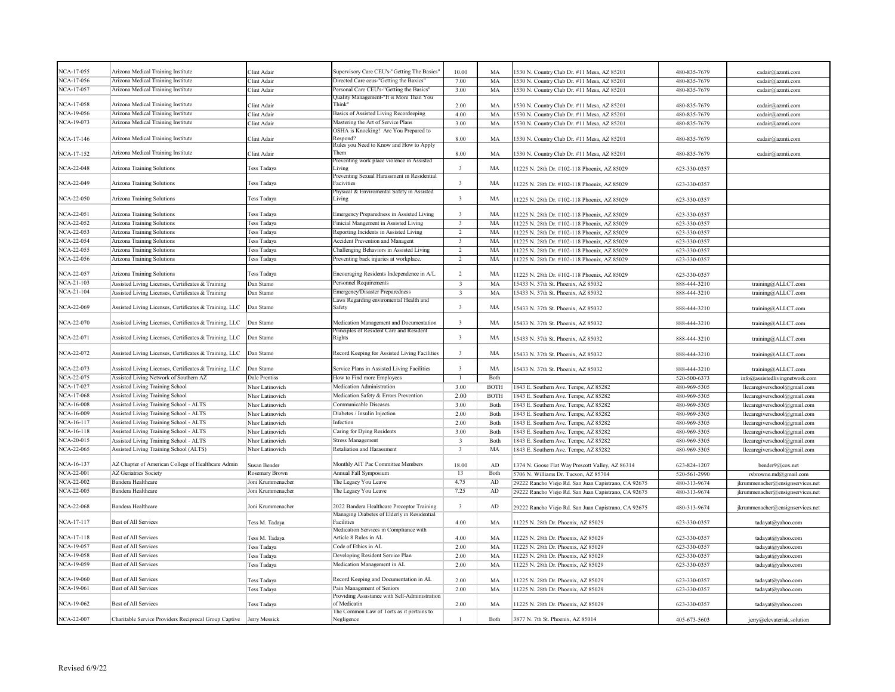| NCA-17-055                      | Arizona Medical Training Institute                     | Clint Adair          | Supervisory Care CEU's-"Getting The Basics'                                               | 10.00                   | MA          | 530 N. Country Club Dr. #11 Mesa, AZ 85201           | 480-835-7679 | cadair@azmti.com                 |
|---------------------------------|--------------------------------------------------------|----------------------|-------------------------------------------------------------------------------------------|-------------------------|-------------|------------------------------------------------------|--------------|----------------------------------|
| NCA-17-056                      | Arizona Medical Training Institute                     | Clint Adair          | Directed Care ceus-"Getting the Baxics'                                                   | 7.00                    | MA          | 1530 N. Country Club Dr. #11 Mesa, AZ 85201          | 480-835-7679 | cadair@azmti.com                 |
| <b>NCA-17-057</b>               | Arizona Medical Training Institute                     | Clint Adair          | Personal Care CEU's-"Getting the Basics"                                                  | 3.00                    | MA          | 1530 N. Country Club Dr. #11 Mesa, AZ 85201          | 480-835-7679 | cadair@azmti.com                 |
| NCA-17-058                      | Arizona Medical Training Institute                     | Clint Adair          | Quality Management-"It is More Than You<br>Think"                                         | 2.00                    | MA          | 530 N. Country Club Dr. #11 Mesa, AZ 85201           | 480-835-7679 | cadair@azmti.com                 |
| NCA-19-056                      | Arizona Medical Training Institute                     | Clint Adair          | Basics of Assisted Living Recordeeping                                                    | 4.00                    | MA          | 1530 N. Country Club Dr. #11 Mesa, AZ 85201          | 480-835-7679 | cadair@azmti.com                 |
| NCA-19-073                      | Arizona Medical Training Institute                     | Clint Adair          | Mastering the Art of Service Plans                                                        | 3.00                    | MA          | 1530 N. Country Club Dr. #11 Mesa, AZ 85201          | 480-835-7679 | cadair@azmti.com                 |
|                                 |                                                        |                      | OSHA is Knocking! Are You Prepared to                                                     |                         |             |                                                      |              |                                  |
| NCA-17-146                      | Arizona Medical Training Institute                     | Clint Adair          | Respond?                                                                                  | 8.00                    | MA          | 530 N. Country Club Dr. #11 Mesa, AZ 85201           | 480-835-7679 | cadair@azmti.com                 |
|                                 | Arizona Medical Training Institute                     |                      | Rules you Need to Know and How to Apply<br>Them                                           |                         |             |                                                      |              |                                  |
| NCA-17-152                      |                                                        | Clint Adair          | Preventing work place violence in Assisted                                                | 8.00                    | MA          | 530 N. Country Club Dr. #11 Mesa, AZ 85201           | 480-835-7679 | cadair@azmti.com                 |
| NCA-22-048                      | Arizona Training Solutions                             | <b>Tess Tadaya</b>   | Living                                                                                    | $\overline{\mathbf{3}}$ | MA          | 1225 N. 28th Dr. #102-118 Phoenix, AZ 85029          | 623-330-0357 |                                  |
|                                 |                                                        |                      | Preventing Sexual Harassment in Residential                                               |                         |             |                                                      |              |                                  |
| NCA-22-049                      | Arizona Training Solutions                             | Tess Tadaya          | Facivities                                                                                | $\overline{3}$          | MA          | 1225 N. 28th Dr. #102-118 Phoenix, AZ 85029          | 623-330-0357 |                                  |
| NCA-22-050                      | Arizona Training Solutions                             | <b>Fess Tadaya</b>   | Physical & Enviromental Safety in Assisted<br>Living                                      | $\overline{3}$          | MA          | 1225 N. 28th Dr. #102-118 Phoenix, AZ 85029          | 623-330-0357 |                                  |
|                                 |                                                        |                      |                                                                                           |                         |             |                                                      |              |                                  |
| NCA-22-051                      | Arizona Training Solutions                             | <b>Fess Tadaya</b>   | Emergency Preparedness in Assisted Living                                                 | $\mathfrak{Z}$          | MA          | 1225 N. 28th Dr. #102-118 Phoenix, AZ 85029          | 623-330-0357 |                                  |
| NCA-22-052                      | Arizona Training Solutions                             | Tess Tadaya          | Finicial Mangement in Assisted Living                                                     | $\mathbf{3}$            | MA          | 11225 N. 28th Dr. #102-118 Phoenix, AZ 85029         | 623-330-0357 |                                  |
| NCA-22-053                      | Arizona Training Solutions                             | <b>Tess Tadaya</b>   | Reporting Incidents in Assisted Living                                                    | $\overline{2}$          | MA          | 11225 N. 28th Dr. #102-118 Phoenix, AZ 85029         | 623-330-0357 |                                  |
| <b>NCA-22-054</b>               | Arizona Training Solutions                             | <b>Tess Tadaya</b>   | Accident Prevention and Managent                                                          | 3                       | MA          | 11225 N. 28th Dr. #102-118 Phoenix, AZ 85029         | 623-330-0357 |                                  |
| NCA-22-055                      | Arizona Training Solutions                             | Tess Tadaya          | Challenging Behaviors in Assisted Living                                                  | $\overline{2}$          | MA          | 11225 N. 28th Dr. #102-118 Phoenix, AZ 85029         | 623-330-0357 |                                  |
| NCA-22-056                      | Arizona Training Solutions                             | Tess Tadaya          | Preventing back injuries at workplace.                                                    | $\overline{2}$          | MA          | 11225 N. 28th Dr. #102-118 Phoenix, AZ 85029         | 623-330-0357 |                                  |
| NCA-22-057                      | Arizona Training Solutions                             | Tess Tadaya          | Encouraging Residents Independence in A/L                                                 | $\overline{2}$          | MA          | 1225 N. 28th Dr. #102-118 Phoenix, AZ 85029          | 623-330-0357 |                                  |
| $NCA-21-103$                    | Assisted Living Licenses, Certificates & Training      | Dan Stamo            | Personnel Requirements                                                                    | $\sqrt{3}$              | MA          | 15433 N. 37th St. Phoenix, AZ 85032                  | 888-444-3210 | training@ALLCT.com               |
| NCA-21-104                      | Assisted Living Licenses, Certificates & Training      | Dan Stamo            | Emergency/Disaster Preparedness                                                           | $\mathbf{3}$            | MA          | 15433 N. 37th St. Phoenix, AZ 85032                  | 888-444-3210 | training@ALLCT.com               |
|                                 |                                                        |                      | Laws Regarding enviromental Health and                                                    |                         |             |                                                      |              |                                  |
| NCA-22-069                      | Assisted Living Licenses, Certificates & Training, LLC | Dan Stamo            | Safety                                                                                    | $\overline{3}$          | MA          | 5433 N. 37th St. Phoenix, AZ 85032                   | 888-444-3210 | training@ALLCT.com               |
| NCA-22-070                      | Assisted Living Licenses, Certificates & Training, LLC | Dan Stamo            | Medication Management and Documentation                                                   | $\overline{3}$          | MA          | 5433 N. 37th St. Phoenix, AZ 85032                   | 888-444-3210 |                                  |
|                                 |                                                        |                      | Principles of Resident Care and Resident                                                  |                         |             |                                                      |              | training@ALLCT.com               |
| NCA-22-071                      | Assisted Living Licenses, Certificates & Training, LLC | Dan Stamo            | Rights                                                                                    | $\overline{3}$          | MA          | 5433 N. 37th St. Phoenix, AZ 85032                   | 888-444-3210 | training@ALLCT.com               |
| NCA-22-072                      | Assisted Living Licenses, Certificates & Training, LLC | Dan Stamo            | Record Keeping for Assisted Living Facilities                                             | $\overline{3}$          | <b>MA</b>   | 5433 N. 37th St. Phoenix, AZ 85032                   | 888-444-3210 | training@ALLCT.com               |
|                                 |                                                        |                      |                                                                                           |                         |             |                                                      |              |                                  |
| NCA-22-073                      | Assisted Living Licenses, Certificates & Training, LLC | Dan Stamo            | Service Plans in Assisted Living Facilities                                               | $\overline{3}$          | MA          | 5433 N. 37th St. Phoenix, AZ 85032                   | 888-444-3210 | training@ALLCT.com               |
| NCA-22-075                      | Assisted Living Network of Southern AZ                 | <b>Dale Prentiss</b> | How to Find more Employees                                                                | $\mathbf{1}$            | Both        |                                                      | 520-500-6373 | info@assistedlivingnetwork.com   |
| NCA-17-027                      | Assisted Living Training School                        | Nhor Latinovich      | Medication Administration                                                                 | 3.00                    | <b>BOTH</b> | 1843 E. Southern Ave. Tempe, AZ 85282                | 480-969-5305 | llecaregiverschool@gmail.com     |
| NCA-17-068                      | Assisted Living Training School                        | Nhor Latinovich      | Medication Safety & Errors Prevention                                                     | 2.00                    | <b>BOTH</b> | 1843 E. Southern Ave. Tempe, AZ 85282                | 480-969-5305 | llecaregiverschool@gmail.com     |
| <b>NCA-16-008</b>               | Assisted Living Training School - ALTS                 | Nhor Latinovich      | Communicable Diseases                                                                     | 3.00                    | Both        | 1843 E. Southern Ave. Tempe, AZ 85282                | 480-969-5305 | llecaregiverschool@gmail.com     |
| NCA-16-009                      | Assisted Living Training School - ALTS                 | Nhor Latinovich      | Diabetes / Insulin Injection                                                              | 2.00                    | Both        | 1843 E. Southern Ave. Tempe, AZ 85282                | 480-969-5305 | llecaregiverschool@gmail.com     |
| NCA-16-117                      | Assisted Living Training School - ALTS                 | Nhor Latinovich      | Infection                                                                                 | 2.00                    | Both        | 1843 E. Southern Ave. Tempe, AZ 85282                | 480-969-5305 | llecaregiverschool@gmail.com     |
| NCA-16-118                      | Assisted Living Training School - ALTS                 | Nhor Latinovich      | Caring for Dying Residents                                                                | 3.00                    | Both        | 1843 E. Southern Ave. Tempe, AZ 85282                | 480-969-5305 | llecaregiverschool@gmail.com     |
| NCA-20-015                      | Assisted Living Training School - ALTS                 | Nhor Latinovich      | <b>Stress Management</b>                                                                  | $\overline{\mathbf{3}}$ | Both        | 1843 E. Southern Ave. Tempe, AZ 85282                | 480-969-5305 | llecaregiverschool@gmail.com     |
| <b>NCA-22-065</b>               | Assisted Living Training School (ALTS)                 | Nhor Latinovich      | Retaliation and Harassment                                                                | $\mathfrak{Z}$          | MA          | 1843 E. Southern Ave. Tempe, AZ 85282                | 480-969-5305 | llecaregiverschool@gmail.com     |
| NCA-16-137                      | AZ Chapter of American College of Healthcare Admin     | Susan Bender         | Monthly AIT Pac Committee Members                                                         | 18.00                   | AD          | 1374 N. Goose Flat Way Prescott Valley, AZ 86314     | 623-824-1207 | bender9@cox.net                  |
| NCA-22-001                      | AZ Geriatrics Society                                  | Rosemary Brown       | Annual Fall Symposium                                                                     | 13                      | Both        | 5706 N. Williams Dr. Tucson, AZ 85704                | 520-561-2990 | rsbrowne.md@gmail.com            |
| NCA-22-002                      | Bandera Healthcare                                     | Joni Krummenacher    | The Legacy You Leave                                                                      | 4.75                    | AD          | 29222 Rancho Viejo Rd. San Juan Capistrano, CA 92675 | 480-313-9674 | jkrummenacher@ensignservices.net |
| <b>NCA-22-005</b>               | <b>Bandera Healthcare</b>                              | Joni Krummenacher    | The Legacy You Leave                                                                      | 7.25                    | AD          | 29222 Rancho Viejo Rd. San Juan Capistrano, CA 92675 | 480-313-9674 | jkrummenacher@ensignservices.net |
|                                 |                                                        |                      |                                                                                           |                         |             |                                                      |              |                                  |
| NCA-22-068                      | Bandera Healthcare                                     | Joni Krummenacher    | 2022 Bandera Healthcare Preceptor Training<br>Managing Diabetes of Elderly in Residential | $\mathbf{3}$            | AD          | 29222 Rancho Viejo Rd. San Juan Capistrano, CA 92675 | 480-313-9674 | jkrummenacher@ensignservices.net |
| NCA-17-117                      | Best of All Services                                   | Tess M. Tadaya       | Facilities                                                                                | 4.00                    | MA          | 11225 N. 28th Dr. Phoenix, AZ 85029                  | 623-330-0357 | tadayat@yahoo.com                |
|                                 |                                                        |                      | Medication Services in Compliance with                                                    |                         |             |                                                      |              |                                  |
| NCA-17-118                      | Best of All Services                                   | Tess M. Tadaya       | Article 8 Rules in AL                                                                     | 4.00                    | MA          | 11225 N. 28th Dr. Phoenix, AZ 85029                  | 623-330-0357 | tadayat@yahoo.com                |
| NCA-19-057<br><b>NCA-19-058</b> | Best of All Services<br><b>Best of All Services</b>    | <b>Tess Tadaya</b>   | Code of Ethics in AL                                                                      | 2.00                    | MA          | 11225 N. 28th Dr. Phoenix, AZ 85029                  | 623-330-0357 | tadayat@yahoo.com                |
| NCA-19-059                      | Best of All Services                                   | <b>Tess Tadaya</b>   | Developing Resident Service Plan<br>Medication Management in AL                           | 2.00<br>2.00            | MA          | 11225 N. 28th Dr. Phoenix, AZ 85029                  | 623-330-0357 | tadayat@yahoo.com                |
|                                 |                                                        | <b>Tess Tadaya</b>   |                                                                                           |                         | MA          | 11225 N. 28th Dr. Phoenix, AZ 85029                  | 623-330-0357 | tadayat@yahoo.com                |
| NCA-19-060                      | Best of All Services                                   | Tess Tadaya          | Record Keeping and Documentation in AL                                                    | 2.00                    | MA          | 11225 N. 28th Dr. Phoenix, AZ 85029                  | 623-330-0357 | tadayat@yahoo.com                |
| NCA-19-061                      | Best of All Services                                   | Tess Tadaya          | Pain Management of Seniors                                                                | 2.00                    | MA          | 11225 N. 28th Dr. Phoenix, AZ 85029                  | 623-330-0357 | tadayat@yahoo.com                |
| NCA-19-062                      | <b>Best of All Services</b>                            |                      | Providing Assistance with Self-Administration<br>of Medicatin                             |                         |             |                                                      |              |                                  |
|                                 |                                                        | <b>Tess Tadaya</b>   | The Common Law of Torts as it pertains to                                                 | 2.00                    | MA          | 11225 N. 28th Dr. Phoenix, AZ 85029                  | 623-330-0357 | tadayat@yahoo.com                |
| NCA-22-007                      | Charitable Service Providers Reciprocal Group Captive  | Jerry Messick        | Negligence                                                                                |                         | Both        | 3877 N. 7th St. Phoenix, AZ 85014                    | 405-673-5603 | jerry@elevaterisk.solution       |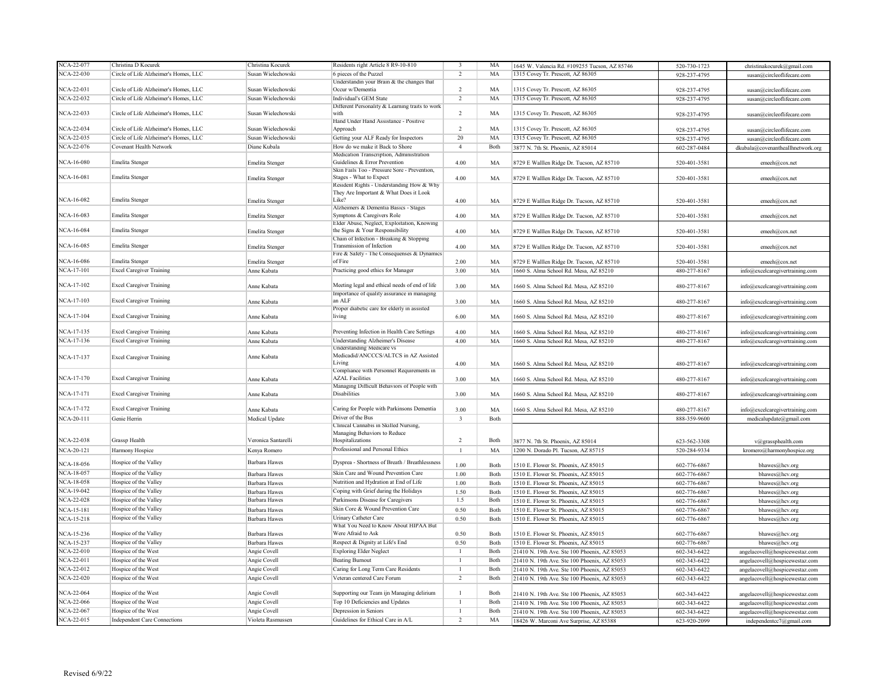| NCA-22-077                             | Christina D Kocurek                            | Christina Kocurek                            | Residents right Article 8 R9-10-810                                                 | $\overline{\mathbf{3}}$ | MA           | 1645 W. Valencia Rd. #109255 Tucson, AZ 85746 | 520-730-1723                 | christinakocurek@gmail.com                                 |
|----------------------------------------|------------------------------------------------|----------------------------------------------|-------------------------------------------------------------------------------------|-------------------------|--------------|-----------------------------------------------|------------------------------|------------------------------------------------------------|
| <b>NCA-22-030</b>                      | Circle of Life Alzheimer's Homes, LLC          | Susan Wielechowski                           | 6 pieces of the Puzzel                                                              | $\overline{2}$          | MA           | 1315 Covey Tr. Prescott, AZ 86305             | 928-237-4795                 | susan@circleoflifecare.com                                 |
|                                        |                                                |                                              | Understandin your Brain & the changes that                                          |                         |              |                                               |                              |                                                            |
| NCA-22-031                             | Circle of Life Alzheimer's Homes, LLC          | Susan Wielechowski                           | Occur w/Dementia                                                                    | $\overline{c}$          | $\rm MA$     | 1315 Covey Tr. Prescott, AZ 86305             | 928-237-4795                 | susan@circleoflifecare.com                                 |
| NCA-22-032                             | Circle of Life Alzheimer's Homes, LLC          | Susan Wielechowski                           | Individual's GEM State                                                              | $\overline{2}$          | MA           | 1315 Covey Tr. Prescott, AZ 86305             | 928-237-4795                 | susan@circleoflifecare.com                                 |
|                                        |                                                |                                              | Different Personality & Learning traits to work                                     |                         |              |                                               |                              |                                                            |
| NCA-22-033                             | Circle of Life Alzheimer's Homes, LLC          | Susan Wielechowski                           | with<br>Hand Under Hand Assistance - Positive                                       | $\overline{2}$          | MA           | 1315 Covey Tr. Prescott, AZ 86305             | 928-237-4795                 | susan@circleoflifecare.com                                 |
| NCA-22-034                             | Circle of Life Alzheimer's Homes, LLC          | Susan Wielechowski                           | Approach                                                                            | $\overline{2}$          | MA           | 1315 Covey Tr. Prescott, AZ 86305             | 928-237-4795                 | susan@circleoflifecare.com                                 |
| NCA-22-035                             | Circle of Life Alzheimer's Homes, LLC          | Susan Wielechowski                           | Getting your ALF Ready for Inspectors                                               | 20                      | MA           | 1315 Covey Tr. Prescott, AZ 86305             | 928-237-4795                 | susan@circleoflifecare.com                                 |
| <b>NCA-22-076</b>                      | Covenant Health Network                        | Diane Kubala                                 | How do we make it Back to Shore                                                     | $\overline{4}$          | Both         |                                               |                              |                                                            |
|                                        |                                                |                                              | Medication Transcription, Administration                                            |                         |              | 3877 N. 7th St. Phoenix, AZ 85014             | 602-287-0484                 | dkubala@covenantheallhnetwork.org                          |
| NCA-16-080                             | Emelita Stenger                                | Emelita Stenger                              | Guidelines & Error Prevention                                                       | 4.00                    | MA           | 8729 E Walllen Ridge Dr. Tucson, AZ 85710     | 520-401-3581                 | emeeh@cox.net                                              |
|                                        |                                                |                                              | Skin Fails Too - Pressure Sore - Prevention,                                        |                         |              |                                               |                              |                                                            |
| NCA-16-081                             | Emelita Stenger                                | Emelita Stenger                              | Stages - What to Expect                                                             | 4.00                    | MA           | 8729 E Walllen Ridge Dr. Tucson, AZ 85710     | 520-401-3581                 | emeeh@cox.net                                              |
|                                        |                                                |                                              | Resident Rights - Understanding How & Why<br>They Are Important & What Does it Look |                         |              |                                               |                              |                                                            |
| NCA-16-082                             | Emelita Stenger                                | Emelita Stenger                              | Like?                                                                               | 4.00                    | MA           | 8729 E Walllen Ridge Dr. Tucson, AZ 85710     | 520-401-3581                 | emeeh@cox.net                                              |
|                                        |                                                |                                              | Alzheimers & Dementia Basics - Stages                                               |                         |              |                                               |                              |                                                            |
| NCA-16-083                             | Emelita Stenger                                | Emelita Stenger                              | Symptons & Caregivers Role                                                          | 4.00                    | MA           | 8729 E Walllen Ridge Dr. Tucson, AZ 85710     | 520-401-3581                 | emeeh@cox.net                                              |
|                                        |                                                |                                              | Elder Abuse, Neglect, Exploitation, Knowing                                         |                         |              |                                               |                              |                                                            |
| NCA-16-084                             | Emelita Stenger                                | Emelita Stenger                              | the Signs & Your Responsibility                                                     | 4.00                    | MA           | 8729 E Walllen Ridge Dr. Tucson, AZ 85710     | 520-401-3581                 | emeeh@cox.net                                              |
| NCA-16-085                             | Emelita Stenger                                | Emelita Stenger                              | Chain of Infection - Breaking & Stopping<br>Transmission of Infection               | 4.00                    | MA           | 8729 E Walllen Ridge Dr. Tucson, AZ 85710     | 520-401-3581                 | emeeh@cox.net                                              |
|                                        |                                                |                                              | Fire & Safety - The Consequenses & Dynamics                                         |                         |              |                                               |                              |                                                            |
| NCA-16-086                             | Emelita Stenger                                | Emelita Stenger                              | of Fire                                                                             | 2.00                    | MA           | 8729 E Walllen Ridge Dr. Tucson, AZ 85710     | 520-401-3581                 | emeeh@cox.net                                              |
| NCA-17-101                             | <b>Excel Caregiver Training</b>                | Anne Kabata                                  | Practicing good ethics for Manager                                                  | 3.00                    | MA           | 1660 S. Alma School Rd. Mesa, AZ 85210        | 480-277-8167                 | info@excelcaregivertraining.com                            |
|                                        |                                                |                                              |                                                                                     |                         |              |                                               |                              |                                                            |
| NCA-17-102                             | <b>Excel Caregiver Training</b>                | Anne Kabata                                  | Meeting legal and ethical needs of end of life                                      | 3.00                    | MA           | 1660 S. Alma School Rd. Mesa, AZ 85210        | 480-277-8167                 | info@excelcaregivertraining.com                            |
| NCA-17-103                             |                                                |                                              | Importance of quality assurance in managing<br>an ALF                               |                         |              |                                               |                              |                                                            |
|                                        | <b>Excel Caregiver Training</b>                | Anne Kabata                                  | Proper diabetic care for elderly in assisted                                        | 3.00                    | MA           | 1660 S. Alma School Rd. Mesa, AZ 85210        | 480-277-8167                 | info@excelcaregivertraining.com                            |
| NCA-17-104                             | <b>Excel Caregiver Training</b>                | Anne Kabata                                  | living                                                                              | 6.00                    | MA           | 1660 S. Alma School Rd. Mesa, AZ 85210        | 480-277-8167                 | info@excelcaregivertraining.com                            |
|                                        |                                                |                                              |                                                                                     |                         |              |                                               |                              |                                                            |
| NCA-17-135                             | <b>Excel Caregiver Training</b>                | Anne Kabata                                  | Preventing Infection in Health Care Settings                                        | 4.00                    | MA           | 1660 S. Alma School Rd. Mesa, AZ 85210        | 480-277-8167                 | info@excelcaregivertraining.com                            |
| NCA-17-136                             | <b>Excel Caregiver Training</b>                | Anne Kabata                                  | <b>Understanding Alzheimer's Disease</b>                                            | 4.00                    | MA           | 1660 S. Alma School Rd. Mesa, AZ 85210        | 480-277-8167                 | info@excelcaregivertraining.com                            |
|                                        |                                                |                                              | Understanding Medicare vs                                                           |                         |              |                                               |                              |                                                            |
| NCA-17-137                             | <b>Excel Caregiver Training</b>                | Anne Kabata                                  | Medicadid/ANCCCS/ALTCS in AZ Assisted<br>Living                                     | 4.00                    | MA           | 660 S. Alma School Rd. Mesa, AZ 85210         | 480-277-8167                 |                                                            |
|                                        |                                                |                                              | Compliance with Personnel Requirements in                                           |                         |              |                                               |                              | info@excelcaregivertraining.com                            |
| NCA-17-170                             | <b>Excel Caregiver Training</b>                | Anne Kabata                                  | <b>AZAL Facilities</b>                                                              | 3.00                    | MA           | 660 S. Alma School Rd. Mesa, AZ 85210         | 480-277-8167                 | info@excelcaregivertraining.com                            |
|                                        |                                                |                                              | Managing Difficult Behaviors of People with                                         |                         |              |                                               |                              |                                                            |
| NCA-17-171                             | <b>Excel Caregiver Training</b>                | Anne Kabata                                  | <b>Disabilities</b>                                                                 | 3.00                    | MA           | 1660 S. Alma School Rd. Mesa, AZ 85210        | 480-277-8167                 | info@excelcaregivertraining.com                            |
| NCA-17-172                             | <b>Excel Caregiver Training</b>                |                                              | Caring for People with Parkinsons Dementia                                          | 3.00                    |              | 1660 S. Alma School Rd. Mesa, AZ 85210        |                              |                                                            |
| NCA-20-111                             | Genie Herrin                                   | Anne Kabata                                  | Driver of the Bus                                                                   | $\overline{\mathbf{3}}$ | MA<br>Both   |                                               | 480-277-8167<br>888-359-9600 | info@excelcaregivertraining.com<br>medicalupdate@gmail.com |
|                                        |                                                | Medical Update                               | Clinical Cannabis in Skilled Nursing,                                               |                         |              |                                               |                              |                                                            |
|                                        |                                                |                                              | Managing Behaviors to Reduce                                                        |                         |              |                                               |                              |                                                            |
| NCA-22-038                             | Grassp Health                                  | Veronica Santarelli                          | Hospitalizations                                                                    | $\overline{2}$          | Both         | 3877 N. 7th St. Phoenix, AZ 85014             | 623-562-3308                 | $v(a)$ grassphealth.com                                    |
| NCA-20-121                             | Harmony Hospice                                | Kenya Romero                                 | Professional and Personal Ethics                                                    | $\mathbf{1}$            | MA           | 1200 N. Dorado Pl. Tucson, AZ 85715           | 520-284-9334                 | kromero@harmonyhospice.org                                 |
| NCA-18-056                             | Hospice of the Valley                          | <b>Barbara Hawes</b>                         | Dysprea - Shortness of Breath / Breathlessness                                      |                         |              |                                               |                              |                                                            |
| NCA-18-057                             | Hospice of the Valley                          |                                              | Skin Care and Wound Prevention Care                                                 | 1.00                    | Both         | 1510 E. Flower St. Phoenix, AZ 85015          | 602-776-6867                 | bhawes@hcv.org                                             |
|                                        |                                                | <b>Barbara Hawes</b>                         |                                                                                     | 1.00                    | Both         | 1510 E. Flower St. Phoenix, AZ 85015          | 602-776-6867                 | bhawes@hev.org                                             |
| <b>NCA-18-058</b><br><b>NCA-19-042</b> | Hospice of the Valley                          | <b>Barbara Hawes</b>                         | Nutrition and Hydration at End of Life                                              | 1.00                    | Both         | 1510 E. Flower St. Phoenix, AZ 85015          | 602-776-6867                 | bhawes@hcv.org                                             |
| NCA-22-028                             | Hospice of the Valley<br>Hospice of the Valley | <b>Barbara Hawes</b><br><b>Barbara Hawes</b> | Coping with Grief during the Holidays<br>Parkinsons Disease for Caregivers          | 1.50<br>1.5             | Both<br>Both | 1510 E. Flower St. Phoenix, AZ 85015          | 602-776-6867                 | bhawes@hcv.org                                             |
|                                        | Hospice of the Valley                          |                                              | Skin Core & Wound Prevention Care                                                   |                         |              | 1510 E. Flower St. Phoenix, AZ 85015          | 602-776-6867                 | bhawes@hcv.org                                             |
| NCA-15-181                             |                                                | <b>Barbara Hawes</b>                         | Urinary Catheter Care                                                               | 0.50                    | Both         | 1510 E. Flower St. Phoenix, AZ 85015          | 602-776-6867                 | bhawes@hev.org                                             |
| NCA-15-218                             | Hospice of the Valley                          | <b>Barbara Hawes</b>                         | What You Need to Know About HIPAA But                                               | 0.50                    | Both         | 1510 E. Flower St. Phoenix, AZ 85015          | 602-776-6867                 | bhawes@hev.org                                             |
| NCA-15-236                             | Hospice of the Valley                          | <b>Barbara Hawes</b>                         | Were Afraid to Ask                                                                  | 0.50                    | <b>Both</b>  | 1510 E. Flower St. Phoenix, AZ 85015          | 602-776-6867                 | bhawes@hev.org                                             |
| NCA-15-237                             | Hospice of the Valley                          | <b>Barbara Hawes</b>                         | Respect & Dignity at Life's End                                                     | 0.50                    | Both         | 1510 E. Flower St. Phoenix, AZ 85015          | 602-776-6867                 | bhawes@hcv.org                                             |
| NCA-22-010                             | Hospice of the West                            | Angie Covell                                 | <b>Exploring Elder Neglect</b>                                                      | $\mathbf{1}$            | Both         | 21410 N. 19th Ave. Ste 100 Phoenix, AZ 85053  | 602-343-6422                 | angelacovell@hospicewestaz.com                             |
| NCA-22-011                             | Hospice of the West                            | Angie Covell                                 | <b>Beating Burnout</b>                                                              | $\mathbf{1}$            | Both         | 21410 N. 19th Ave. Ste 100 Phoenix, AZ 85053  | 602-343-6422                 | angelacovell@hospicewestaz.com                             |
| NCA-22-012                             | Hospice of the West                            | Angie Covell                                 | Caring for Long Term Care Residents                                                 | 1                       | Both         | 21410 N. 19th Ave. Ste 100 Phoenix, AZ 85053  | 602-343-6422                 | angelacovell@hospicewestaz.com                             |
| <b>NCA-22-020</b>                      | Hospice of the West                            | Angie Covell                                 | Veteran centered Care Forum                                                         | $\overline{2}$          | Both         | 21410 N. 19th Ave. Ste 100 Phoenix, AZ 85053  | 602-343-6422                 | angelacovell@hospicewestaz.com                             |
|                                        |                                                |                                              |                                                                                     |                         |              |                                               |                              |                                                            |
| <b>NCA-22-064</b>                      | Hospice of the West                            | Angie Covell                                 | Supporting our Team ijn Managing delirium                                           | $\mathbf{1}$            | Both         | 21410 N. 19th Ave. Ste 100 Phoenix, AZ 85053  | 602-343-6422                 | angelacovell@hospicewestaz.com                             |
| <b>NCA-22-066</b>                      | Hospice of the West                            | Angie Covell                                 | Top 10 Deficiencies and Updates                                                     | $\mathbf{1}$            | Both         | 21410 N. 19th Ave. Ste 100 Phoenix, AZ 85053  | 602-343-6422                 | angelacovell@hospicewestaz.com                             |
| NCA-22-067                             | Hospice of the West                            | Angie Covell                                 | Depression in Seniors                                                               | $\overline{1}$          | Both         | 21410 N. 19th Ave. Ste 100 Phoenix, AZ 85053  | 602-343-6422                 | angelacovell@hospicewestaz.com                             |
| <b>NCA-22-015</b>                      | <b>Independent Care Connections</b>            | Violeta Rasmussen                            | Guidelines for Ethical Care in A/L                                                  | $\overline{2}$          | $_{\rm MA}$  | 18426 W. Marconi Ave Surprise, AZ 85388       | 623-920-2099                 | independentcc7@gmail.com                                   |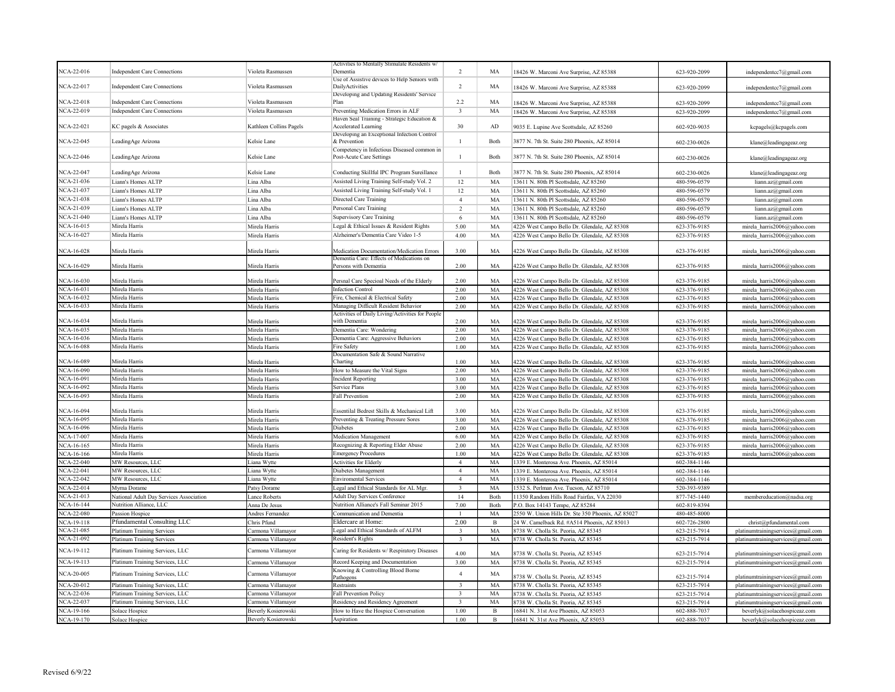|                   |                                         |                         | Activities to Mentally Stimulate Residents w/                       |                         |            |                                                   |              |                                    |
|-------------------|-----------------------------------------|-------------------------|---------------------------------------------------------------------|-------------------------|------------|---------------------------------------------------|--------------|------------------------------------|
| NCA-22-016        | <b>Independent Care Connections</b>     | Violeta Rasmussen       | Dementia                                                            | $\overline{c}$          | MA         | 18426 W. Marconi Ave Surprise, AZ 85388           | 623-920-2099 | independentcc7@gmail.com           |
| NCA-22-017        | <b>Independent Care Connections</b>     | Violeta Rasmussen       | Use of Assistive devices to Help Seniors with<br>DailyActivities    | $\overline{c}$          | MA         | 18426 W. Marconi Ave Surprise, AZ 85388           | 623-920-2099 | independentcc7@gmail.com           |
| NCA-22-018        | <b>Independent Care Connections</b>     | Violeta Rasmussen       | Developing and Updating Residents' Service<br>Plan                  | $2.2\,$                 | MA         | 18426 W. Marconi Ave Surprise, AZ 85388           | 623-920-2099 | independentcc7@gmail.com           |
| NCA-22-019        | Independent Care Connections            | Violeta Rasmussen       | Preventing Medication Errors in ALF                                 | 3                       | MA         | 18426 W. Marconi Ave Surprise, AZ 85388           | 623-920-2099 | independentcc7@gmail.com           |
| NCA-22-021        | KC pagels & Associates                  | Kathleen Collins Pagels | Haven Seal Training - Strategic Education &<br>Accelerated Learning | 30                      | ${\rm AD}$ | 9035 E. Lupine Ave Scottsdale, AZ 85260           | 602-920-9035 |                                    |
|                   |                                         |                         | Developing an Exceptional Infection Control                         |                         |            |                                                   |              | kcpagels@kcpagels.com              |
| NCA-22-045        | LeadingAge Arizona                      | Kelsie Lane             | & Prevention<br>Competency in Infectious Diseased common in         | $\mathbf{1}$            | Both       | 3877 N. 7th St. Suite 280 Phoenix, AZ 85014       | 602-230-0026 | klane@leadingageaz.org             |
| NCA-22-046        | LeadingAge Arizona                      | Kelsie Lane             | Post-Acute Care Settings                                            | $\mathbf{1}$            | Both       | 3877 N. 7th St. Suite 280 Phoenix, AZ 85014       | 602-230-0026 | klane@leadingageaz.org             |
| NCA-22-047        | LeadingAge Arizona                      | Kelsie Lane             | Conducting Skillful IPC Program Sureillance                         | $\mathbf{1}$            | Both       | 3877 N. 7th St. Suite 280 Phoenix, AZ 85014       | 602-230-0026 | klane@leadingageaz.org             |
| NCA-21-036        | Liann's Homes ALTP                      | Lina Alba               | Assisted Living Training Self-study Vol. 2                          | $12 \,$                 | MA         | 13611 N. 80th Pl Scottsdale, AZ 85260             | 480-596-0579 | liann.az $@$ gmail.com             |
| NCA-21-037        | Liann's Homes ALTP                      | Lina Alba               | Assisted Living Training Self-study Vol. 1                          | $12 \,$                 | MA         | 13611 N. 80th Pl Scottsdale, AZ 85260             | 480-596-0579 | liann.az@gmail.com                 |
| <b>NCA-21-038</b> | Liann's Homes ALTP                      | Lina Alba               | Directed Care Training                                              | $\overline{4}$          | MA         | 13611 N. 80th Pl Scottsdale, AZ 85260             | 480-596-0579 | liann.az@gmail.com                 |
| NCA-21-039        | Liann's Homes ALTP                      | Lina Alba               | Personal Care Training                                              | $\overline{2}$          | MA         | 13611 N. 80th Pl Scottsdale, AZ 85260             | 480-596-0579 | liann.az@gmail.com                 |
| NCA-21-040        | Liann's Homes ALTP                      | Lina Alba               | Supervisory Care Training                                           | 6                       | MA         | 13611 N. 80th Pl Scottsdale, AZ 85260             | 480-596-0579 | liann.az@gmail.com                 |
| NCA-16-015        | Mirela Harris                           | Mirela Harris           | Legal & Ethical Issues & Resident Rights                            | 5.00                    | MA         | 4226 West Campo Bello Dr. Glendale, AZ 85308      | 623-376-9185 | mirela harris2006@yahoo.com        |
| NCA-16-027        | Mirela Harris                           | Mirela Harris           | Alzheimer's/Dementia Care Video 1-5                                 | 4.00                    | MA         | 4226 West Campo Bello Dr. Glendale, AZ 85308      | 623-376-9185 | mirela_harris2006@yahoo.com        |
| NCA-16-028        | Mirela Harris                           | Mirela Harris           | Medication Documentation/Medication Errors                          | 3.00                    | MA         | 4226 West Campo Bello Dr. Glendale, AZ 85308      | 623-376-9185 | mirela harris2006@yahoo.com        |
| NCA-16-029        | Mirela Harris                           | Mirela Harris           | Dementia Care: Effects of Medications on<br>Persons with Dementia   | 2.00                    | MA         | 4226 West Campo Bello Dr. Glendale, AZ 85308      | 623-376-9185 | mirela_harris2006@yahoo.com        |
| NCA-16-030        | Mirela Harris                           | Mirela Harris           | Persnal Care Specioal Needs of the Elderly                          | 2.00                    | MA         | 4226 West Campo Bello Dr. Glendale, AZ 85308      | 623-376-9185 | mirela harris2006@yahoo.com        |
| NCA-16-031        | Mirela Harris                           | Mirela Harris           | <b>Infection Control</b>                                            | 2.00                    | MA         | 4226 West Campo Bello Dr. Glendale, AZ 85308      | 623-376-9185 | mirela harris2006@yahoo.com        |
| NCA-16-032        | Mirela Harris                           | Mirela Harris           | Fire, Chemical & Electrical Safety                                  | 2.00                    | MA         | 4226 West Campo Bello Dr. Glendale, AZ 85308      | 623-376-9185 | mirela harris2006@yahoo.com        |
| NCA-16-033        | Mirela Harris                           | Mirela Harris           | Managing Difficult Resident Behavior                                | 2.00                    | MA         | 4226 West Campo Bello Dr. Glendale, AZ 85308      | 623-376-9185 | mirela harris2006@yahoo.com        |
|                   |                                         |                         | Activities of Daily Living/Activities for People                    |                         |            |                                                   |              |                                    |
| NCA-16-034        | Mirela Harris                           | Mirela Harris           | with Dementia                                                       | 2.00                    | MA         | 4226 West Campo Bello Dr. Glendale, AZ 85308      | 623-376-9185 | mirela harris2006@yahoo.com        |
| NCA-16-035        | Mirela Harris                           | Mirela Harris           | Dementia Care: Wondering                                            | 2.00                    | MA         | 4226 West Campo Bello Dr. Glendale, AZ 85308      | 623-376-9185 | mirela harris2006@yahoo.com        |
| NCA-16-036        | Mirela Harris                           | Mirela Harris           | Dementia Care: Aggressive Behaviors                                 | 2.00                    | MA         | 4226 West Campo Bello Dr. Glendale, AZ 85308      | 623-376-9185 | mirela harris2006@yahoo.com        |
| <b>NCA-16-088</b> | Mirela Harris                           | Mirela Harris           | <b>Fire Safety</b>                                                  | 1.00                    | MA         | 4226 West Campo Bello Dr. Glendale, AZ 85308      | 623-376-9185 | mirela_harris2006@yahoo.com        |
| NCA-16-089        | Mirela Harris                           | Mirela Harris           | Documentation Safe & Sound Narrative<br>Charting                    | 1.00                    | MA         | 4226 West Campo Bello Dr. Glendale, AZ 85308      | 623-376-9185 | mirela harris2006@yahoo.com        |
| NCA-16-090        | Mirela Harris                           | Mirela Harris           | How to Measure the Vital Signs                                      | 2.00                    | MA         | 4226 West Campo Bello Dr. Glendale, AZ 85308      | 623-376-9185 | mirela harris2006@yahoo.com        |
| NCA-16-091        | Mirela Harris                           | Mirela Harris           | <b>Incident Reporting</b>                                           | 3.00                    | MA         | 4226 West Campo Bello Dr. Glendale, AZ 85308      | 623-376-9185 | mirela harris2006@yahoo.com        |
| NCA-16-092        | Mirela Harris                           | Mirela Harris           | Service Plans                                                       | 3.00                    | MA         | 4226 West Campo Bello Dr. Glendale, AZ 85308      | 623-376-9185 | mirela harris2006@yahoo.com        |
| NCA-16-093        | Mirela Harris                           | Mirela Harris           | Fall Prevention                                                     | 2.00                    | MA         | 4226 West Campo Bello Dr. Glendale, AZ 85308      | 623-376-9185 | mirela harris2006@yahoo.com        |
| NCA-16-094        | Mirela Harris                           | Mirela Harris           | Essentilal Bedrest Skills & Mechanical Lift                         | 3.00                    | MA         | 4226 West Campo Bello Dr. Glendale, AZ 85308      | 623-376-9185 | mirela harris2006@yahoo.com        |
| NCA-16-095        | Mirela Harris                           | Mirela Harris           | Preventing & Treating Pressure Sores                                | 3.00                    | MA         | 4226 West Campo Bello Dr. Glendale, AZ 85308      | 623-376-9185 | mirela harris2006@yahoo.com        |
| NCA-16-096        | Mirela Harris                           | Mirela Harris           | Diabetes                                                            | 2.00                    | MA         | 4226 West Campo Bello Dr. Glendale, AZ 85308      | 623-376-9185 | mirela harris2006@yahoo.com        |
| NCA-17-007        | Mirela Harris                           | Mirela Harris           | Medication Management                                               | 6.00                    | MA         | 4226 West Campo Bello Dr. Glendale, AZ 85308      | 623-376-9185 | mirela harris2006@yahoo.com        |
| NCA-16-165        | Mirela Harris                           | Mirela Harris           | Recognizing & Reporting Elder Abuse                                 | 2.00                    | MA         | 4226 West Campo Bello Dr. Glendale, AZ 85308      | 623-376-9185 | mirela harris2006@yahoo.com        |
| NCA-16-166        | Mirela Harris                           | Mirela Harris           | <b>Emergency Procedures</b>                                         | 1.00                    | MA         | 4226 West Campo Bello Dr. Glendale, AZ 85308      | 623-376-9185 | mirela harris2006@yahoo.com        |
| NCA-22-040        | MW Resources, LLC                       | Liana Wytte             | Activities for Elderly                                              | $\overline{4}$          | MA         | 1339 E. Monterosa Ave. Phoenix, AZ 85014          | 602-384-1146 |                                    |
| NCA-22-041        | MW Resources, LLC                       | Liana Wytte             | Diabetes Management                                                 | $\overline{4}$          | MA         | 1339 E. Monterosa Ave. Phoenix, AZ 85014          | 602-384-1146 |                                    |
| NCA-22-042        | MW Resources, LLC                       | Liana Wytte             | <b>Enviromental Services</b>                                        | $\overline{4}$          | MA         | 1339 E. Monterosa Ave. Phoenix, AZ 85014          | 602-384-1146 |                                    |
| NCA-22-014        | Myrna Dorame                            | Patsy Dorame            | Legal and Ethical Standards for AL Mgr.                             | $\mathbf{3}$            | MA         | 1532 S. Perlman Ave. Tucson, AZ 85710             | 520-393-9389 |                                    |
| NCA-21-013        | National Adult Day Services Association | Lance Roberts           | Adult Day Services Conference                                       | 14                      | Both       | 11350 Random Hills Road Fairfax, VA 22030         | 877-745-1440 | membereducation@nadsa.org          |
| NCA-16-144        | Nutrition Alliance, LLC                 | Anna De Jesus           | Nutrition Alliance's Fall Seminar 2015                              | 7.00                    | Both       | P.O. Box 14143 Tempe, AZ 85284                    | 602-819-8394 |                                    |
| NCA-22-080        | Passion Hospice                         | Andres Fernandez        | Communication and Dementia                                          |                         | MA         | 2550 W. Union Hills Dr. Ste 350 Phoenix, AZ 85027 | 480-485-8000 |                                    |
| NCA-19-118        | Pfundamental Consulting LLC             | Chris Pfund             | Eldercare at Home:                                                  | 2.00                    | $_{\rm B}$ | 24 W. Camelback Rd. #A514 Phoenix, AZ 85013       | 602-726-2800 | christ@pfundamental.com            |
| NCA-21-085        | <b>Platinum Training Services</b>       | Carmona Villamayor      | Legal and Ethical Standards of ALFM                                 | $\overline{\mathbf{3}}$ | MA         | 738 W. Cholla St. Peoria, AZ 85345                | 623-215-7914 | platinumtrainingservices@gmail.com |
| NCA-21-092        | <b>Platinum Training Services</b>       | Carmona Villamayor      | <b>Resident's Rights</b>                                            | $\overline{\mathbf{3}}$ | MA         | 8738 W. Cholla St. Peoria, AZ 85345               | 623-215-7914 | platinumtrainingservices@gmail.com |
| NCA-19-112        | Platinum Training Services, LLC         | Carmona Villamayor      | Caring for Residents w/ Respiratory Diseases                        | 4.00                    | MA         | 3738 W. Cholla St. Peoria, AZ 85345               | 623-215-7914 | platinumtrainingservices@gmail.com |
| NCA-19-113        | Platinum Training Services, LLC         | Carmona Villamayor      | Record Keeping and Documentation                                    | 3.00                    | MA         | 8738 W. Cholla St. Peoria, AZ 85345               | 623-215-7914 | platinumtrainingservices@gmail.com |
| <b>NCA-20-005</b> | Platinum Training Services, LLC         | Carmona Villamayor      | Knowing & Controlling Blood Borne<br>Pathogens                      | $\overline{4}$          | MA         | 3738 W. Cholla St. Peoria, AZ 85345               | 623-215-7914 | platinumtrainingservices@gmail.com |
| NCA-20-012        | Platinum Training Services, LLC         | Carmona Villamayor      | Restraints                                                          | $\overline{\mathbf{3}}$ | MA         | 8738 W. Cholla St. Peoria, AZ 85345               | 623-215-7914 | platinumtrainingservices@gmail.com |
| NCA-22-036        | Platinum Training Services, LLC         | Carmona Villamayor      | Fall Prevention Policy                                              | $\mathbf{3}$            | MA         | 8738 W. Cholla St. Peoria, AZ 85345               | 623-215-7914 | platinumtrainingservices@gmail.com |
| NCA-22-037        | Platinum Training Services, LLC         | Carmona Villamayor      | Residency and Residency Agreement                                   | $\mathbf{3}$            | MA         | 8738 W. Cholla St. Peoria, AZ 85345               | 623-215-7914 | platinumtrainingservices@gmail.com |
| NCA-19-166        | Solace Hospice                          | Beverly Kosierowski     | How to Have the Hospice Conversation                                | 1.00                    | $_{\rm B}$ | 16841 N. 31st Ave Phoenix, AZ 85053               | 602-888-7037 | beverlyk@solacehospiceaz.com       |
| NCA-19-170        | Solace Hospice                          | Beverly Kosierowski     | Aspiration                                                          | 1.00                    | $_{\rm B}$ | 16841 N. 31st Ave Phoenix, AZ 85053               | 602-888-7037 | beverlyk@solacehospiceaz.com       |